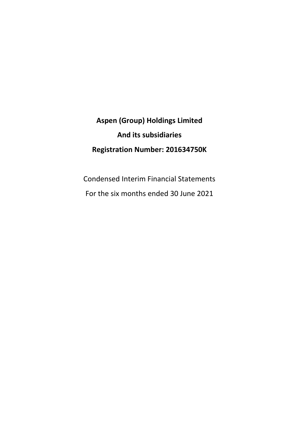# **Aspen (Group) Holdings Limited And its subsidiaries Registration Number: 201634750K**

Condensed Interim Financial Statements For the six months ended 30 June 2021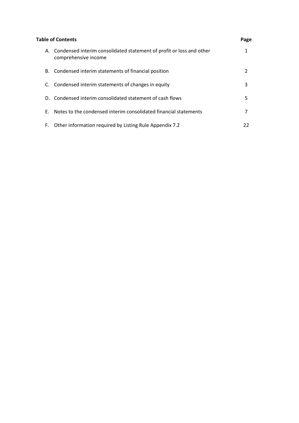|    | <b>Table of Contents</b>                                                                        | Page |
|----|-------------------------------------------------------------------------------------------------|------|
|    | A. Condensed interim consolidated statement of profit or loss and other<br>comprehensive income | 1    |
|    | B. Condensed interim statements of financial position                                           | 2    |
|    | C. Condensed interim statements of changes in equity                                            | 3    |
|    | D. Condensed interim consolidated statement of cash flows                                       | 5    |
| Е. | Notes to the condensed interim consolidated financial statements                                | 7    |
| F. | Other information required by Listing Rule Appendix 7.2                                         | 22   |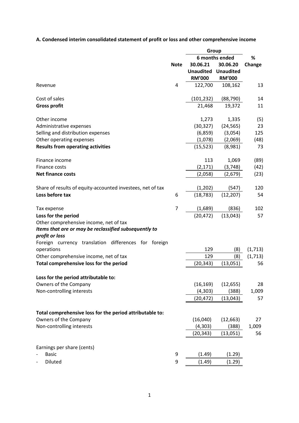**A. Condensed interim consolidated statement of profit or loss and other comprehensive income**

|                                                            | Group          |                  |                  |          |  |
|------------------------------------------------------------|----------------|------------------|------------------|----------|--|
|                                                            | 6 months ended |                  |                  | %        |  |
|                                                            | <b>Note</b>    | 30.06.21         | 30.06.20         | Change   |  |
|                                                            |                | <b>Unaudited</b> | <b>Unaudited</b> |          |  |
|                                                            |                | <b>RM'000</b>    | <b>RM'000</b>    |          |  |
| Revenue                                                    | 4              | 122,700          | 108,162          | 13       |  |
| Cost of sales                                              |                | (101, 232)       | (88, 790)        | 14       |  |
| <b>Gross profit</b>                                        |                | 21,468           | 19,372           | 11       |  |
| Other income                                               |                | 1,273            | 1,335            | (5)      |  |
| Administrative expenses                                    |                | (30, 327)        | (24, 565)        | 23       |  |
| Selling and distribution expenses                          |                | (6,859)          | (3,054)          | 125      |  |
| Other operating expenses                                   |                | (1,078)          | (2,069)          | (48)     |  |
| <b>Results from operating activities</b>                   |                | (15, 523)        | (8,981)          | 73       |  |
| Finance income                                             |                | 113              | 1,069            | (89)     |  |
| Finance costs                                              |                | (2, 171)         | (3,748)          | (42)     |  |
| <b>Net finance costs</b>                                   |                | (2,058)          | (2,679)          | (23)     |  |
| Share of results of equity-accounted investees, net of tax |                | (1,202)          | (547)            | 120      |  |
| Loss before tax                                            | 6              | (18, 783)        | (12, 207)        | 54       |  |
| Tax expense                                                | $\overline{7}$ | (1,689)          | (836)            | 102      |  |
| Loss for the period                                        |                | (20, 472)        | (13,043)         | 57       |  |
| Other comprehensive income, net of tax                     |                |                  |                  |          |  |
| Items that are or may be reclassified subsequently to      |                |                  |                  |          |  |
| profit or loss                                             |                |                  |                  |          |  |
| Foreign currency translation differences for foreign       |                |                  |                  |          |  |
| operations                                                 |                | 129              | (8)              | (1,713)  |  |
| Other comprehensive income, net of tax                     |                | 129              | (8)              | (1, 713) |  |
| Total comprehensive loss for the period                    |                | (20, 343)        | (13,051)         | 56       |  |
| Loss for the period attributable to:                       |                |                  |                  |          |  |
| Owners of the Company                                      |                | (16, 169)        | (12, 655)        | 28       |  |
| Non-controlling interests                                  |                | (4, 303)         | (388)            | 1,009    |  |
|                                                            |                | (20, 472)        | (13, 043)        | 57       |  |
| Total comprehensive loss for the period attributable to:   |                |                  |                  |          |  |
| Owners of the Company                                      |                | (16,040)         | (12, 663)        | 27       |  |
| Non-controlling interests                                  |                | (4, 303)         | (388)            | 1,009    |  |
|                                                            |                | (20, 343)        | (13,051)         | 56       |  |
| Earnings per share (cents)                                 |                |                  |                  |          |  |
| <b>Basic</b>                                               | 9              | (1.49)           | (1.29)           |          |  |
| Diluted                                                    | 9              | (1.49)           | (1.29)           |          |  |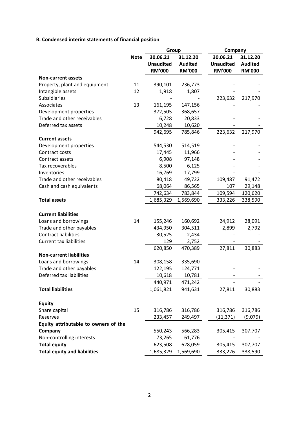## **B. Condensed interim statements of financial position**

|                                      |             | Group            |                |                  | Company        |  |
|--------------------------------------|-------------|------------------|----------------|------------------|----------------|--|
|                                      | <b>Note</b> | 30.06.21         | 31.12.20       | 30.06.21         | 31.12.20       |  |
|                                      |             | <b>Unaudited</b> | <b>Audited</b> | <b>Unaudited</b> | <b>Audited</b> |  |
|                                      |             | <b>RM'000</b>    | <b>RM'000</b>  | <b>RM'000</b>    | <b>RM'000</b>  |  |
| <b>Non-current assets</b>            |             |                  |                |                  |                |  |
| Property, plant and equipment        | 11          | 390,101          | 236,773        |                  |                |  |
| Intangible assets                    | 12          | 1,918            | 1,807          |                  |                |  |
| <b>Subsidiaries</b>                  |             |                  |                | 223,632          | 217,970        |  |
| Associates                           | 13          | 161,195          | 147,156        |                  |                |  |
| Development properties               |             | 372,505          | 368,657        |                  |                |  |
| Trade and other receivables          |             | 6,728            | 20,833         |                  |                |  |
| Deferred tax assets                  |             | 10,248           | 10,620         |                  |                |  |
|                                      |             | 942,695          | 785,846        | 223,632          | 217,970        |  |
| <b>Current assets</b>                |             |                  |                |                  |                |  |
| Development properties               |             | 544,530          | 514,519        |                  |                |  |
| Contract costs                       |             | 17,445           | 11,966         |                  |                |  |
| Contract assets                      |             | 6,908            | 97,148         |                  |                |  |
| Tax recoverables                     |             | 8,500            | 6,125          |                  |                |  |
| Inventories                          |             | 16,769           | 17,799         |                  |                |  |
| Trade and other receivables          |             | 80,418           | 49,722         | 109,487          | 91,472         |  |
| Cash and cash equivalents            |             | 68,064           | 86,565         | 107              | 29,148         |  |
|                                      |             | 742,634          | 783,844        | 109,594          | 120,620        |  |
| <b>Total assets</b>                  |             | 1,685,329        | 1,569,690      | 333,226          | 338,590        |  |
|                                      |             |                  |                |                  |                |  |
| <b>Current liabilities</b>           |             |                  |                |                  |                |  |
| Loans and borrowings                 | 14          | 155,246          | 160,692        | 24,912           | 28,091         |  |
| Trade and other payables             |             | 434,950          | 304,511        | 2,899            | 2,792          |  |
| <b>Contract liabilities</b>          |             | 30,525           | 2,434          |                  |                |  |
| <b>Current tax liabilities</b>       |             | 129              | 2,752          |                  |                |  |
|                                      |             | 620,850          | 470,389        | 27,811           | 30,883         |  |
| <b>Non-current liabilities</b>       |             |                  |                |                  |                |  |
| Loans and borrowings                 | 14          | 308,158          | 335,690        |                  |                |  |
| Trade and other payables             |             | 122,195          | 124,771        |                  |                |  |
| Deferred tax liabilities             |             | 10,618           | 10,781         |                  |                |  |
|                                      |             | 440,971          | 471,242        |                  |                |  |
| <b>Total liabilities</b>             |             | 1,061,821        | 941,631        | 27,811           | 30,883         |  |
|                                      |             |                  |                |                  |                |  |
| <b>Equity</b>                        |             |                  |                |                  |                |  |
| Share capital                        | 15          | 316,786          | 316,786        | 316,786          | 316,786        |  |
| Reserves                             |             | 233,457          | 249,497        | (11, 371)        | (9,079)        |  |
| Equity attributable to owners of the |             |                  |                |                  |                |  |
| Company                              |             | 550,243          | 566,283        | 305,415          | 307,707        |  |
| Non-controlling interests            |             | 73,265           | 61,776         |                  |                |  |
| <b>Total equity</b>                  |             | 623,508          | 628,059        | 305,415          | 307,707        |  |
| <b>Total equity and liabilities</b>  |             | 1,685,329        | 1,569,690      | 333,226          | 338,590        |  |
|                                      |             |                  |                |                  |                |  |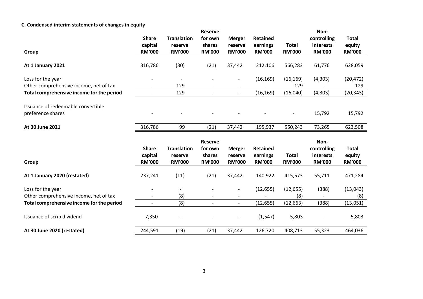## **C. Condensed interim statements of changes in equity**

|                                           |                          |                          | <b>Reserve</b>          |                          |                           |                               | Non-                       |                         |
|-------------------------------------------|--------------------------|--------------------------|-------------------------|--------------------------|---------------------------|-------------------------------|----------------------------|-------------------------|
|                                           | <b>Share</b>             | <b>Translation</b>       | for own                 | <b>Merger</b>            | Retained                  |                               | controlling                | <b>Total</b>            |
|                                           | capital                  | reserve                  | shares                  | reserve                  | earnings                  | <b>Total</b>                  | interests                  | equity                  |
| Group                                     | <b>RM'000</b>            | <b>RM'000</b>            | <b>RM'000</b>           | <b>RM'000</b>            | <b>RM'000</b>             | <b>RM'000</b>                 | <b>RM'000</b>              | <b>RM'000</b>           |
| At 1 January 2021                         | 316,786                  | (30)                     | (21)                    | 37,442                   | 212,106                   | 566,283                       | 61,776                     | 628,059                 |
| Loss for the year                         |                          |                          |                         | $\qquad \qquad$          | (16, 169)                 | (16, 169)                     | (4,303)                    | (20, 472)               |
| Other comprehensive income, net of tax    |                          | 129                      |                         | $\overline{\phantom{a}}$ |                           | 129                           |                            | 129                     |
| Total comprehensive income for the period |                          | 129                      |                         | $\overline{\phantom{a}}$ | (16, 169)                 | (16,040)                      | (4, 303)                   | (20, 343)               |
| Issuance of redeemable convertible        |                          |                          |                         |                          |                           |                               |                            |                         |
| preference shares                         |                          |                          |                         |                          |                           |                               | 15,792                     | 15,792                  |
| At 30 June 2021                           | 316,786                  | 99                       | (21)                    | 37,442                   | 195,937                   | 550,243                       | 73,265                     | 623,508                 |
|                                           |                          |                          | <b>Reserve</b>          |                          |                           |                               | Non-                       |                         |
|                                           | <b>Share</b>             | <b>Translation</b>       | for own                 | <b>Merger</b>            | <b>Retained</b>           |                               | controlling                | <b>Total</b>            |
| Group                                     | capital<br><b>RM'000</b> | reserve<br><b>RM'000</b> | shares<br><b>RM'000</b> | reserve<br><b>RM'000</b> | earnings<br><b>RM'000</b> | <b>Total</b><br><b>RM'000</b> | interests<br><b>RM'000</b> | equity<br><b>RM'000</b> |
| At 1 January 2020 (restated)              | 237,241                  | (11)                     | (21)                    | 37,442                   | 140,922                   | 415,573                       | 55,711                     | 471,284                 |
| Loss for the year                         |                          |                          |                         |                          | (12, 655)                 | (12, 655)                     | (388)                      | (13,043)                |
| Other comprehensive income, net of tax    |                          | (8)                      |                         |                          |                           | (8)                           |                            | (8)                     |
| Total comprehensive income for the period |                          | (8)                      |                         | $\overline{\phantom{a}}$ | (12, 655)                 | (12, 663)                     | (388)                      | (13,051)                |
| Issuance of scrip dividend                |                          |                          |                         |                          |                           |                               |                            |                         |
|                                           | 7,350                    |                          |                         |                          | (1, 547)                  | 5,803                         |                            | 5,803                   |
| At 30 June 2020 (restated)                | 244,591                  | (19)                     | (21)                    | 37,442                   | 126,720                   | 408,713                       | 55,323                     | 464,036                 |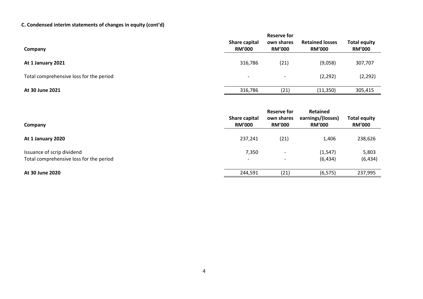# **C. Condensed interim statements of changes in equity (cont'd)**

| Company                                 | Share capital<br><b>RM'000</b> | Reserve for<br>own shares<br><b>RM'000</b> | <b>Retained losses</b><br><b>RM'000</b> | <b>Total equity</b><br><b>RM'000</b> |
|-----------------------------------------|--------------------------------|--------------------------------------------|-----------------------------------------|--------------------------------------|
| At 1 January 2021                       | 316,786                        | (21)                                       | (9,058)                                 | 307,707                              |
| Total comprehensive loss for the period | $\overline{\phantom{a}}$       | $\overline{\phantom{0}}$                   | (2, 292)                                | (2, 292)                             |
| At 30 June 2021                         | 316,786                        | (21)                                       | (11,350)                                | 305,415                              |

| Company                                                               | Share capital<br><b>RM'000</b>    | Reserve for<br>own shares<br><b>RM'000</b> | Retained<br>earnings/(losses)<br><b>RM'000</b> | <b>Total equity</b><br><b>RM'000</b> |
|-----------------------------------------------------------------------|-----------------------------------|--------------------------------------------|------------------------------------------------|--------------------------------------|
| At 1 January 2020                                                     | 237,241                           | (21)                                       | 1,406                                          | 238,626                              |
| Issuance of scrip dividend<br>Total comprehensive loss for the period | 7,350<br>$\overline{\phantom{0}}$ | $\overline{\phantom{0}}$                   | (1, 547)<br>(6, 434)                           | 5,803<br>(6, 434)                    |
| At 30 June 2020                                                       | 244,591                           | (21)                                       | (6, 575)                                       | 237,995                              |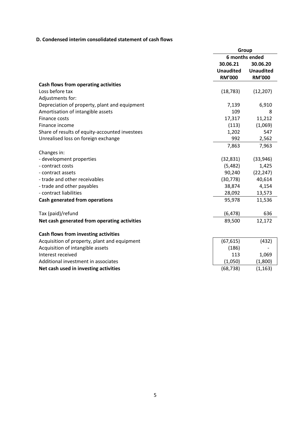## **D. Condensed interim consolidated statement of cash flows**

|                                                | Group            |                  |  |
|------------------------------------------------|------------------|------------------|--|
|                                                | 6 months ended   |                  |  |
|                                                | 30.06.21         | 30.06.20         |  |
|                                                | <b>Unaudited</b> | <b>Unaudited</b> |  |
|                                                | <b>RM'000</b>    | <b>RM'000</b>    |  |
| Cash flows from operating activities           |                  |                  |  |
| Loss before tax                                | (18, 783)        | (12, 207)        |  |
| Adjustments for:                               |                  |                  |  |
| Depreciation of property, plant and equipment  | 7,139            | 6,910            |  |
| Amortisation of intangible assets              | 109              | 8                |  |
| Finance costs                                  | 17,317           | 11,212           |  |
| Finance income                                 | (113)            | (1,069)          |  |
| Share of results of equity-accounted investees | 1,202            | 547              |  |
| Unrealised loss on foreign exchange            | 992              | 2,562            |  |
|                                                | 7,863            | 7,963            |  |
| Changes in:                                    |                  |                  |  |
| - development properties                       | (32, 831)        | (33, 946)        |  |
| - contract costs                               | (5,482)          | 1,425            |  |
| - contract assets                              | 90,240           | (22, 247)        |  |
| - trade and other receivables                  | (30, 778)        | 40,614           |  |
| - trade and other payables                     | 38,874           | 4,154            |  |
| - contract liabilities                         | 28,092           | 13,573           |  |
| Cash generated from operations                 | 95,978           | 11,536           |  |
| Tax (paid)/refund                              | (6, 478)         | 636              |  |
| Net cash generated from operating activities   | 89,500           | 12,172           |  |
| Cash flows from investing activities           |                  |                  |  |
| Acquisition of property, plant and equipment   | (67, 615)        | (432)            |  |
| Acquisition of intangible assets               | (186)            |                  |  |
| Interest received                              | 113              | 1,069            |  |
| Additional investment in associates            | (1,050)          | (1,800)          |  |
| Net cash used in investing activities          | (68, 738)        | (1, 163)         |  |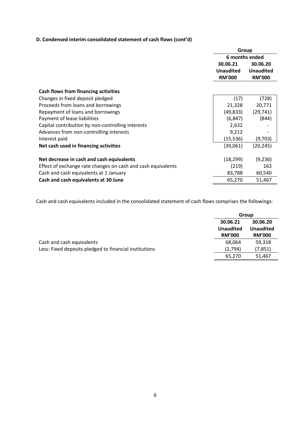## **D. Condensed interim consolidated statement of cash flows (cont'd)**

|                                                              | Group            |                  |  |
|--------------------------------------------------------------|------------------|------------------|--|
|                                                              | 6 months ended   |                  |  |
|                                                              | 30.06.21         | 30.06.20         |  |
|                                                              | <b>Unaudited</b> | <b>Unaudited</b> |  |
|                                                              | <b>RM'000</b>    | <b>RM'000</b>    |  |
|                                                              |                  |                  |  |
| Cash flows from financing activities                         |                  |                  |  |
| Changes in fixed deposit pledged                             | (17)             | (728)            |  |
| Proceeds from loans and borrowings                           | 21,328           | 20,771           |  |
| Repayment of loans and borrowings                            | (49, 833)        | (29, 741)        |  |
| Payment of lease liabilities                                 | (6, 847)         | (844)            |  |
| Capital contribution by non-controlling interests            | 2,632            |                  |  |
| Advances from non-controlling interests                      | 9,212            |                  |  |
| Interest paid                                                | (15, 536)        | (9,703)          |  |
| Net cash used in financing activities                        | (39,061)         | (20, 245)        |  |
| Net decrease in cash and cash equivalents                    | (18, 299)        | (9,236)          |  |
| Effect of exchange rate changes on cash and cash equivalents | (219)            | 163              |  |
| Cash and cash equivalents at 1 January                       | 83,788           | 60,540           |  |
| Cash and cash equivalents at 30 June                         | 65,270           | 51,467           |  |

Cash and cash equivalents included in the consolidated statement of cash flows comprises the followings:

|                                                        | Group                                         |                                               |
|--------------------------------------------------------|-----------------------------------------------|-----------------------------------------------|
|                                                        | 30.06.21<br><b>Unaudited</b><br><b>RM'000</b> | 30.06.20<br><b>Unaudited</b><br><b>RM'000</b> |
| Cash and cash equivalents                              | 68.064                                        | 59,318                                        |
| Less: Fixed deposits pledged to financial institutions | (2,794)                                       | (7, 851)                                      |
|                                                        | 65,270                                        | 51,467                                        |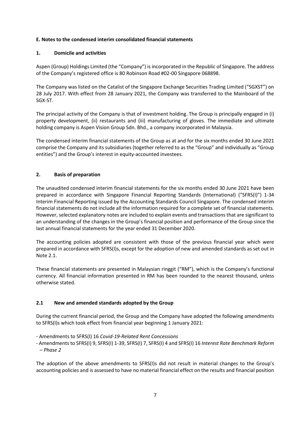#### **E. Notes to the condensed interim consolidated financial statements**

#### **1. Domicile and activities**

Aspen (Group) Holdings Limited (the "Company") is incorporated in the Republic of Singapore. The address of the Company's registered office is 80 Robinson Road #02-00 Singapore 068898.

The Company was listed on the Catalist of the Singapore Exchange Securities Trading Limited ("SGXST") on 28 July 2017. With effect from 28 January 2021, the Company was transferred to the Mainboard of the SGX-ST.

The principal activity of the Company is that of investment holding. The Group is principally engaged in (i) property development, (ii) restaurants and (iii) manufacturing of gloves. The immediate and ultimate holding company is Aspen Vision Group Sdn. Bhd., a company incorporated in Malaysia.

The condensed interim financial statements of the Group as at and for the six months ended 30 June 2021 comprise the Company and its subsidiaries (together referred to as the "Group" and individually as "Group entities") and the Group's interest in equity-accounted investees.

#### **2. Basis of preparation**

The unaudited condensed interim financial statements for the six months ended 30 June 2021 have been prepared in accordance with Singapore Financial Reporting Standards (International) ("SFRS(I)") 1-34 Interim Financial Reporting issued by the Accounting Standards Council Singapore. The condensed interim financial statements do not include all the information required for a complete set of financial statements. However, selected explanatory notes are included to explain events and transactions that are significant to an understanding of the changes in the Group's financial position and performance of the Group since the last annual financial statements for the year ended 31 December 2020.

The accounting policies adopted are consistent with those of the previous financial year which were prepared in accordance with SFRS(I)s, except for the adoption of new and amended standards as set out in Note 2.1.

These financial statements are presented in Malaysian ringgit ("RM"), which is the Company's functional currency. All financial information presented in RM has been rounded to the nearest thousand, unless otherwise stated.

#### **2.1 New and amended standards adopted by the Group**

During the current financial period, the Group and the Company have adopted the following amendments to SFRS(I)s which took effect from financial year beginning 1 January 2021:

- Amendments to SFRS(I) 16 *Covid-19-Related Rent Concessions*
- Amendments to SFRS(I) 9, SFRS(I) 1-39, SFRS(I) 7, SFRS(I) 4 and SFRS(I) 16 *Interest Rate Benchmark Reform – Phase 2*

The adoption of the above amendments to SFRS(I)s did not result in material changes to the Group's accounting policies and is assessed to have no material financial effect on the results and financial position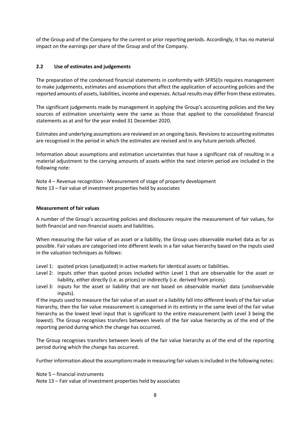of the Group and of the Company for the current or prior reporting periods. Accordingly, it has no material impact on the earnings per share of the Group and of the Company.

#### **2.2 Use of estimates and judgements**

The preparation of the condensed financial statements in conformity with SFRS(I)s requires management to make judgements, estimates and assumptions that affect the application of accounting policies and the reported amounts of assets, liabilities, income and expenses. Actual results may differ from these estimates.

The significant judgements made by management in applying the Group's accounting policies and the key sources of estimation uncertainty were the same as those that applied to the consolidated financial statements as at and for the year ended 31 December 2020.

Estimates and underlying assumptions are reviewed on an ongoing basis. Revisions to accounting estimates are recognised in the period in which the estimates are revised and in any future periods affected.

Information about assumptions and estimation uncertainties that have a significant risk of resulting in a material adjustment to the carrying amounts of assets within the next interim period are included in the following note:

Note 4 – Revenue recognition - Measurement of stage of property development Note 13 – Fair value of investment properties held by associates

#### **Measurement of fair values**

A number of the Group's accounting policies and disclosures require the measurement of fair values, for both financial and non-financial assets and liabilities.

When measuring the fair value of an asset or a liability, the Group uses observable market data as far as possible. Fair values are categorised into different levels in a fair value hierarchy based on the inputs used in the valuation techniques as follows:

- Level 1: quoted prices (unadjusted) in active markets for identical assets or liabilities.
- Level 2: inputs other than quoted prices included within Level 1 that are observable for the asset or liability, either directly (i.e. as prices) or indirectly (i.e. derived from prices).
- Level 3: inputs for the asset or liability that are not based on observable market data (unobservable inputs).

If the inputs used to measure the fair value of an asset or a liability fall into different levels of the fair value hierarchy, then the fair value measurement is categorised in its entirety in the same level of the fair value hierarchy as the lowest level input that is significant to the entire measurement (with Level 3 being the lowest). The Group recognises transfers between levels of the fair value hierarchy as of the end of the reporting period during which the change has occurred.

The Group recognises transfers between levels of the fair value hierarchy as of the end of the reporting period during which the change has occurred.

Further information about the assumptions made in measuring fair values is included in the following notes:

Note 5 – financial instruments

Note 13 – Fair value of investment properties held by associates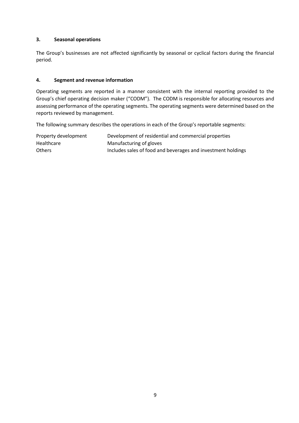#### **3. Seasonal operations**

The Group's businesses are not affected significantly by seasonal or cyclical factors during the financial period.

#### **4. Segment and revenue information**

Operating segments are reported in a manner consistent with the internal reporting provided to the Group's chief operating decision maker ("CODM"). The CODM is responsible for allocating resources and assessing performance of the operating segments. The operating segments were determined based on the reports reviewed by management.

The following summary describes the operations in each of the Group's reportable segments:

| Property development | Development of residential and commercial properties         |
|----------------------|--------------------------------------------------------------|
| Healthcare           | Manufacturing of gloves                                      |
| <b>Others</b>        | Includes sales of food and beverages and investment holdings |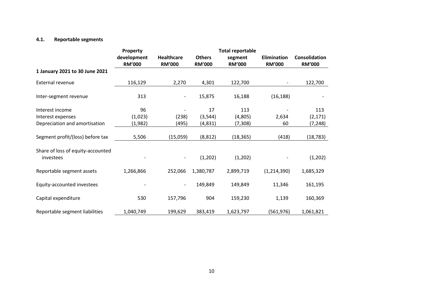#### **4.1. Reportable segments**

|                                                | Property      | <b>Total reportable</b> |               |               |                    |               |
|------------------------------------------------|---------------|-------------------------|---------------|---------------|--------------------|---------------|
|                                                | development   | <b>Healthcare</b>       | <b>Others</b> | segment       | <b>Elimination</b> | Consolidation |
|                                                | <b>RM'000</b> | <b>RM'000</b>           | <b>RM'000</b> | <b>RM'000</b> | <b>RM'000</b>      | <b>RM'000</b> |
| 1 January 2021 to 30 June 2021                 |               |                         |               |               |                    |               |
| External revenue                               | 116,129       | 2,270                   | 4,301         | 122,700       | -                  | 122,700       |
| Inter-segment revenue                          | 313           | -                       | 15,875        | 16,188        | (16, 188)          |               |
| Interest income                                | 96            |                         | 17            | 113           |                    | 113           |
| Interest expenses                              | (1,023)       | (238)                   | (3, 544)      | (4,805)       | 2,634              | (2, 171)      |
| Depreciation and amortisation                  | (1,982)       | (495)                   | (4,831)       | (7, 308)      | 60                 | (7,248)       |
| Segment profit/(loss) before tax               | 5,506         | (15,059)                | (8, 812)      | (18, 365)     | (418)              | (18, 783)     |
| Share of loss of equity-accounted<br>investees |               |                         | (1,202)       | (1,202)       |                    | (1,202)       |
| Reportable segment assets                      | 1,266,866     | 252,066                 | 1,380,787     | 2,899,719     | (1,214,390)        | 1,685,329     |
| Equity-accounted investees                     |               |                         | 149,849       | 149,849       | 11,346             | 161,195       |
| Capital expenditure                            | 530           | 157,796                 | 904           | 159,230       | 1,139              | 160,369       |
| Reportable segment liabilities                 | 1,040,749     | 199,629                 | 383,419       | 1,623,797     | (561, 976)         | 1,061,821     |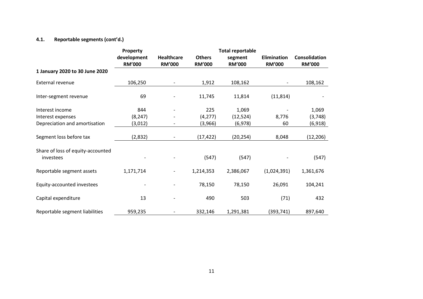## **4.1. Reportable segments (cont'd.)**

|                                                | Property      | <b>Total reportable</b>  |               |               |                          |               |  |  |
|------------------------------------------------|---------------|--------------------------|---------------|---------------|--------------------------|---------------|--|--|
|                                                | development   | <b>Healthcare</b>        | <b>Others</b> | segment       | Elimination              | Consolidation |  |  |
|                                                | <b>RM'000</b> | <b>RM'000</b>            | <b>RM'000</b> | <b>RM'000</b> | <b>RM'000</b>            | <b>RM'000</b> |  |  |
| 1 January 2020 to 30 June 2020                 |               |                          |               |               |                          |               |  |  |
| External revenue                               | 106,250       | $\overline{\phantom{a}}$ | 1,912         | 108,162       | $\overline{\phantom{a}}$ | 108,162       |  |  |
| Inter-segment revenue                          | 69            |                          | 11,745        | 11,814        | (11, 814)                |               |  |  |
| Interest income                                | 844           |                          | 225           | 1,069         |                          | 1,069         |  |  |
| Interest expenses                              | (8, 247)      |                          | (4, 277)      | (12, 524)     | 8,776                    | (3,748)       |  |  |
| Depreciation and amortisation                  | (3,012)       |                          | (3,966)       | (6,978)       | 60                       | (6, 918)      |  |  |
| Segment loss before tax                        | (2,832)       | $\overline{\phantom{a}}$ | (17, 422)     | (20, 254)     | 8,048                    | (12, 206)     |  |  |
| Share of loss of equity-accounted<br>investees |               |                          | (547)         | (547)         |                          | (547)         |  |  |
| Reportable segment assets                      | 1,171,714     |                          | 1,214,353     | 2,386,067     | (1,024,391)              | 1,361,676     |  |  |
| Equity-accounted investees                     |               |                          | 78,150        | 78,150        | 26,091                   | 104,241       |  |  |
| Capital expenditure                            | 13            |                          | 490           | 503           | (71)                     | 432           |  |  |
| Reportable segment liabilities                 | 959,235       |                          | 332,146       | 1,291,381     | (393, 741)               | 897,640       |  |  |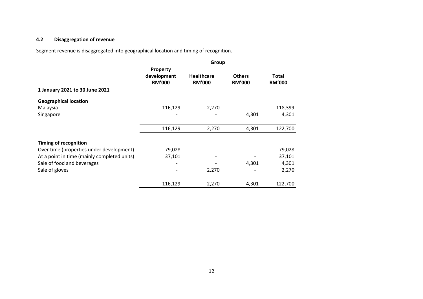## **4.2 Disaggregation of revenue**

Segment revenue is disaggregated into geographical location and timing of recognition.

|                                             | Group         |                   |               |               |
|---------------------------------------------|---------------|-------------------|---------------|---------------|
|                                             | Property      |                   |               |               |
|                                             | development   | <b>Healthcare</b> | <b>Others</b> | <b>Total</b>  |
|                                             | <b>RM'000</b> | <b>RM'000</b>     | <b>RM'000</b> | <b>RM'000</b> |
| 1 January 2021 to 30 June 2021              |               |                   |               |               |
| <b>Geographical location</b>                |               |                   |               |               |
| Malaysia                                    | 116,129       | 2,270             |               | 118,399       |
| Singapore                                   |               |                   | 4,301         | 4,301         |
|                                             | 116,129       | 2,270             | 4,301         | 122,700       |
|                                             |               |                   |               |               |
| <b>Timing of recognition</b>                |               |                   |               |               |
| Over time (properties under development)    | 79,028        |                   |               | 79,028        |
| At a point in time (mainly completed units) | 37,101        |                   |               | 37,101        |
| Sale of food and beverages                  |               |                   | 4,301         | 4,301         |
| Sale of gloves                              |               | 2,270             |               | 2,270         |
|                                             | 116,129       | 2,270             | 4,301         | 122,700       |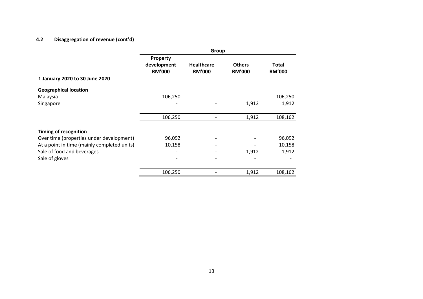## **4.2 Disaggregation of revenue (cont'd)**

|                                                                           | Group                                    |                                    |                                |                        |
|---------------------------------------------------------------------------|------------------------------------------|------------------------------------|--------------------------------|------------------------|
|                                                                           | Property<br>development<br><b>RM'000</b> | <b>Healthcare</b><br><b>RM'000</b> | <b>Others</b><br><b>RM'000</b> | Total<br><b>RM'000</b> |
| 1 January 2020 to 30 June 2020                                            |                                          |                                    |                                |                        |
| <b>Geographical location</b><br>Malaysia<br>Singapore                     | 106,250                                  |                                    | 1,912                          | 106,250<br>1,912       |
|                                                                           | 106,250                                  |                                    | 1,912                          | 108,162                |
| <b>Timing of recognition</b><br>Over time (properties under development)  | 96,092                                   |                                    |                                | 96,092                 |
| At a point in time (mainly completed units)<br>Sale of food and beverages | 10,158                                   |                                    | 1,912                          | 10,158<br>1,912        |
| Sale of gloves                                                            |                                          |                                    |                                |                        |
|                                                                           | 106,250                                  |                                    | 1,912                          | 108,162                |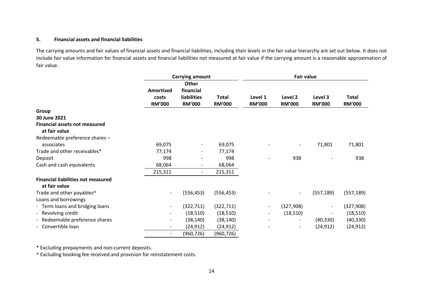#### **5. Financial assets and financial liabilities**

The carrying amounts and fair values of financial assets and financial liabilities, including their levels in the fair value hierarchy are set out below. It does not include fair value information for financial assets and financial liabilities not measured at fair value if the carrying amount is a reasonable approximation of fair value.

|                                                            | <b>Carrying amount</b>                     |                                                           |                               |                          | <b>Fair value</b>        |                          |                               |
|------------------------------------------------------------|--------------------------------------------|-----------------------------------------------------------|-------------------------------|--------------------------|--------------------------|--------------------------|-------------------------------|
|                                                            | <b>Amortised</b><br>costs<br><b>RM'000</b> | Other<br>financial<br><b>liabilities</b><br><b>RM'000</b> | <b>Total</b><br><b>RM'000</b> | Level 1<br><b>RM'000</b> | Level 2<br><b>RM'000</b> | Level 3<br><b>RM'000</b> | <b>Total</b><br><b>RM'000</b> |
| Group                                                      |                                            |                                                           |                               |                          |                          |                          |                               |
| 30 June 2021                                               |                                            |                                                           |                               |                          |                          |                          |                               |
| <b>Financial assets not measured</b><br>at fair value      |                                            |                                                           |                               |                          |                          |                          |                               |
| Redeemable preference shares -<br>associates               | 69,075                                     | $\overline{\phantom{a}}$                                  | 69,075                        |                          | $\overline{\phantom{a}}$ | 71,801                   | 71,801                        |
| Trade and other receivables*                               | 77,174                                     | $\overline{\phantom{a}}$                                  | 77,174                        |                          |                          |                          |                               |
| Deposit                                                    | 998                                        |                                                           | 998                           |                          | 938                      |                          | 938                           |
| Cash and cash equivalents                                  | 68,064                                     |                                                           | 68,064                        |                          |                          |                          |                               |
|                                                            | 215,311                                    | $\overline{\phantom{a}}$                                  | 215,311                       |                          |                          |                          |                               |
| <b>Financial liabilities not measured</b><br>at fair value |                                            |                                                           |                               |                          |                          |                          |                               |
| Trade and other payables^                                  | $\overline{\phantom{a}}$                   | (556, 453)                                                | (556, 453)                    |                          |                          | (557, 189)               | (557, 189)                    |
| Loans and borrowings                                       |                                            |                                                           |                               |                          |                          |                          |                               |
| - Term loans and bridging loans                            | $\overline{\phantom{a}}$                   | (322, 711)                                                | (322, 711)                    | $\overline{\phantom{a}}$ | (327,908)                |                          | (327, 908)                    |
| - Revolving credit                                         |                                            | (18, 510)                                                 | (18, 510)                     | $\overline{\phantom{a}}$ | (18, 510)                |                          | (18, 510)                     |
| - Redeemable preference shares                             | $\overline{\phantom{a}}$                   | (38, 140)                                                 | (38, 140)                     |                          |                          | (40, 330)                | (40, 330)                     |
| - Convertible loan                                         | $\overline{\phantom{a}}$                   | (24, 912)                                                 | (24, 912)                     |                          | $\overline{\phantom{a}}$ | (24, 912)                | (24, 912)                     |
|                                                            | $\overline{\phantom{a}}$                   | (960, 726)                                                | (960, 726)                    |                          |                          |                          |                               |

\* Excluding prepayments and non-current deposits.

^ Excluding booking fee received and provision for reinstatement costs.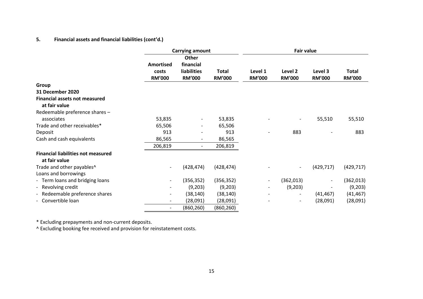#### **5. Financial assets and financial liabilities (cont'd.)**

|                                                            | <b>Carrying amount</b>   |                           | <b>Fair value</b> |                          |                          |                          |               |
|------------------------------------------------------------|--------------------------|---------------------------|-------------------|--------------------------|--------------------------|--------------------------|---------------|
|                                                            | Amortised                | <b>Other</b><br>financial |                   |                          |                          |                          |               |
|                                                            | costs                    | liabilities               | <b>Total</b>      | Level 1                  | Level 2                  | Level 3                  | <b>Total</b>  |
|                                                            | <b>RM'000</b>            | <b>RM'000</b>             | <b>RM'000</b>     | <b>RM'000</b>            | <b>RM'000</b>            | <b>RM'000</b>            | <b>RM'000</b> |
| Group                                                      |                          |                           |                   |                          |                          |                          |               |
| <b>31 December 2020</b>                                    |                          |                           |                   |                          |                          |                          |               |
| <b>Financial assets not measured</b><br>at fair value      |                          |                           |                   |                          |                          |                          |               |
| Redeemable preference shares -                             |                          |                           |                   |                          |                          |                          |               |
| associates                                                 | 53,835                   | $\overline{\phantom{a}}$  | 53,835            |                          |                          | 55,510                   | 55,510        |
| Trade and other receivables*                               | 65,506                   |                           | 65,506            |                          |                          |                          |               |
| Deposit                                                    | 913                      |                           | 913               |                          | 883                      |                          | 883           |
| Cash and cash equivalents                                  | 86,565                   |                           | 86,565            |                          |                          |                          |               |
|                                                            | 206,819                  | $\overline{\phantom{0}}$  | 206,819           |                          |                          |                          |               |
| <b>Financial liabilities not measured</b><br>at fair value |                          |                           |                   |                          |                          |                          |               |
| Trade and other payables^                                  | $\overline{\phantom{a}}$ | (428, 474)                | (428, 474)        |                          |                          | (429, 717)               | (429, 717)    |
| Loans and borrowings                                       |                          |                           |                   |                          |                          |                          |               |
| - Term loans and bridging loans                            | $\overline{\phantom{a}}$ | (356, 352)                | (356, 352)        | $\overline{\phantom{a}}$ | (362, 013)               | $\overline{\phantom{a}}$ | (362, 013)    |
| - Revolving credit                                         |                          | (9,203)                   | (9,203)           | $\overline{\phantom{a}}$ | (9,203)                  |                          | (9,203)       |
| Redeemable preference shares<br>$\overline{\phantom{a}}$   | $\overline{\phantom{a}}$ | (38, 140)                 | (38, 140)         | $\overline{\phantom{a}}$ |                          | (41, 467)                | (41, 467)     |
| - Convertible loan                                         | $\overline{\phantom{a}}$ | (28,091)                  | (28,091)          |                          | $\overline{\phantom{a}}$ | (28,091)                 | (28,091)      |
|                                                            | $\overline{\phantom{a}}$ | (860, 260)                | (860,260)         |                          |                          |                          |               |

\* Excluding prepayments and non-current deposits.

^ Excluding booking fee received and provision for reinstatement costs.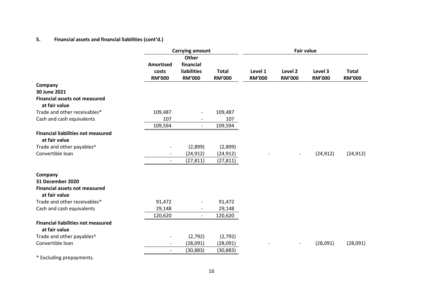## **5. Financial assets and financial liabilities (cont'd.)**

|                                                            |                                     | <b>Carrying amount</b>                                           |                               |                          | <b>Fair value</b>        |                          |                               |
|------------------------------------------------------------|-------------------------------------|------------------------------------------------------------------|-------------------------------|--------------------------|--------------------------|--------------------------|-------------------------------|
|                                                            | Amortised<br>costs<br><b>RM'000</b> | <b>Other</b><br>financial<br><b>liabilities</b><br><b>RM'000</b> | <b>Total</b><br><b>RM'000</b> | Level 1<br><b>RM'000</b> | Level 2<br><b>RM'000</b> | Level 3<br><b>RM'000</b> | <b>Total</b><br><b>RM'000</b> |
| Company                                                    |                                     |                                                                  |                               |                          |                          |                          |                               |
| 30 June 2021                                               |                                     |                                                                  |                               |                          |                          |                          |                               |
| <b>Financial assets not measured</b><br>at fair value      |                                     |                                                                  |                               |                          |                          |                          |                               |
| Trade and other receivables*                               | 109,487                             | $\overline{\phantom{a}}$                                         | 109,487                       |                          |                          |                          |                               |
| Cash and cash equivalents                                  | 107                                 |                                                                  | 107                           |                          |                          |                          |                               |
|                                                            | 109,594                             | $\overline{\phantom{a}}$                                         | 109,594                       |                          |                          |                          |                               |
| <b>Financial liabilities not measured</b><br>at fair value |                                     |                                                                  |                               |                          |                          |                          |                               |
| Trade and other payables^                                  | $\overline{\phantom{a}}$            | (2,899)                                                          | (2,899)                       |                          |                          |                          |                               |
| Convertible loan                                           | $\overline{\phantom{a}}$            | (24, 912)                                                        | (24, 912)                     |                          | $\overline{\phantom{a}}$ | (24, 912)                | (24, 912)                     |
|                                                            | $\overline{\phantom{a}}$            | (27, 811)                                                        | (27, 811)                     |                          |                          |                          |                               |
| Company                                                    |                                     |                                                                  |                               |                          |                          |                          |                               |
| <b>31 December 2020</b>                                    |                                     |                                                                  |                               |                          |                          |                          |                               |
| <b>Financial assets not measured</b><br>at fair value      |                                     |                                                                  |                               |                          |                          |                          |                               |
| Trade and other receivables*                               | 91,472                              |                                                                  | 91,472                        |                          |                          |                          |                               |
| Cash and cash equivalents                                  | 29,148                              | $\overline{\phantom{a}}$                                         | 29,148                        |                          |                          |                          |                               |
|                                                            | 120,620                             | $\overline{\phantom{a}}$                                         | 120,620                       |                          |                          |                          |                               |
| <b>Financial liabilities not measured</b><br>at fair value |                                     |                                                                  |                               |                          |                          |                          |                               |
| Trade and other payables^                                  |                                     | (2,792)                                                          | (2,792)                       |                          |                          |                          |                               |
| Convertible loan                                           | $\overline{\phantom{0}}$            | (28,091)                                                         | (28,091)                      |                          |                          | (28,091)                 | (28,091)                      |
|                                                            | $\overline{\phantom{a}}$            | (30, 883)                                                        | (30, 883)                     |                          |                          |                          |                               |

\* Excluding prepayments.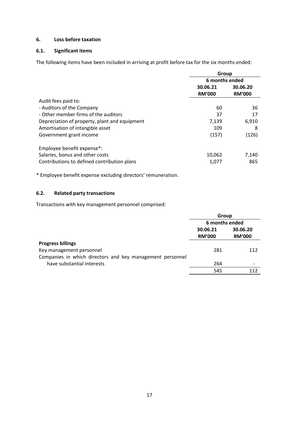#### **6. Loss before taxation**

#### **6.1. Significant items**

The following items have been included in arriving at profit before tax for the six months ended:

|                                               | Group          |               |  |
|-----------------------------------------------|----------------|---------------|--|
|                                               | 6 months ended |               |  |
|                                               | 30.06.21       | 30.06.20      |  |
|                                               | <b>RM'000</b>  | <b>RM'000</b> |  |
| Audit fees paid to:                           |                |               |  |
| - Auditors of the Company                     | 60             | 36            |  |
| - Other member firms of the auditors          | 37             | 17            |  |
| Depreciation of property, plant and equipment | 7,139          | 6,910         |  |
| Amortisation of intangible asset              | 109            | 8             |  |
| Government grant income                       | (157)          | (126)         |  |
| Employee benefit expense*:                    |                |               |  |
| Salaries, bonus and other costs               | 10,062         | 7,140         |  |
| Contributions to defined contribution plans   | 1,077          | 865           |  |

\* Employee benefit expense excluding directors' remuneration.

## **6.2. Related party transactions**

Transactions with key management personnel comprised:

|                                                           |               | Group                        |  |  |
|-----------------------------------------------------------|---------------|------------------------------|--|--|
|                                                           |               | 6 months ended               |  |  |
|                                                           | 30.06.21      | 30.06.20                     |  |  |
|                                                           | <b>RM'000</b> | <b>RM'000</b>                |  |  |
| <b>Progress billings</b>                                  |               |                              |  |  |
| Key management personnel                                  | 281           | 112                          |  |  |
| Companies in which directors and key management personnel |               |                              |  |  |
| have substantial interests                                | 264           | $\qquad \qquad \blacksquare$ |  |  |
|                                                           | 545           | 112                          |  |  |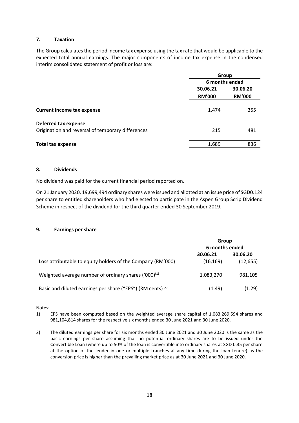#### **7. Taxation**

The Group calculates the period income tax expense using the tax rate that would be applicable to the expected total annual earnings. The major components of income tax expense in the condensed interim consolidated statement of profit or loss are:

|                                                                           | Group                |               |  |
|---------------------------------------------------------------------------|----------------------|---------------|--|
|                                                                           | 6 months ended       |               |  |
|                                                                           | 30.06.21<br>30.06.20 |               |  |
|                                                                           | <b>RM'000</b>        | <b>RM'000</b> |  |
| <b>Current income tax expense</b>                                         | 1,474                | 355           |  |
| Deferred tax expense<br>Origination and reversal of temporary differences | 215                  | 481           |  |
| <b>Total tax expense</b>                                                  | 1,689                | 836           |  |

#### **8. Dividends**

No dividend was paid for the current financial period reported on.

On 21 January 2020, 19,699,494 ordinary shares were issued and allotted at an issue price of SGD0.124 per share to entitled shareholders who had elected to participate in the Aspen Group Scrip Dividend Scheme in respect of the dividend for the third quarter ended 30 September 2019.

#### **9. Earnings per share**

|                                                                        | Group          |           |  |
|------------------------------------------------------------------------|----------------|-----------|--|
|                                                                        | 6 months ended |           |  |
|                                                                        | 30.06.21       | 30.06.20  |  |
| Loss attributable to equity holders of the Company (RM'000)            | (16, 169)      | (12, 655) |  |
| Weighted average number of ordinary shares $(000)^{(1)}$               | 1,083,270      | 981,105   |  |
| Basic and diluted earnings per share ("EPS") (RM cents) <sup>(2)</sup> | (1.49)         | (1.29)    |  |

Notes:

- 1) EPS have been computed based on the weighted average share capital of 1,083,269,594 shares and 981,104,814 shares for the respective six months ended 30 June 2021 and 30 June 2020.
- 2) The diluted earnings per share for six months ended 30 June 2021 and 30 June 2020 is the same as the basic earnings per share assuming that no potential ordinary shares are to be issued under the Convertible Loan (where up to 50% of the loan is convertible into ordinary shares at SGD 0.35 per share at the option of the lender in one or multiple tranches at any time during the loan tenure) as the conversion price is higher than the prevailing market price as at 30 June 2021 and 30 June 2020.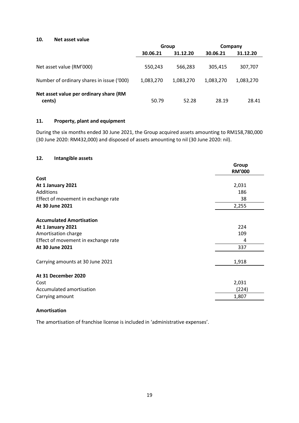#### **10. Net asset value**

|                                                  | Group     |           | Company   |           |
|--------------------------------------------------|-----------|-----------|-----------|-----------|
|                                                  | 30.06.21  | 31.12.20  | 30.06.21  | 31.12.20  |
| Net asset value (RM'000)                         | 550,243   | 566,283   | 305,415   | 307,707   |
| Number of ordinary shares in issue ('000)        | 1,083,270 | 1,083,270 | 1,083,270 | 1,083,270 |
| Net asset value per ordinary share (RM<br>cents) | 50.79     | 52.28     | 28.19     | 28.41     |

#### **11. Property, plant and equipment**

During the six months ended 30 June 2021, the Group acquired assets amounting to RM158,780,000 (30 June 2020: RM432,000) and disposed of assets amounting to nil (30 June 2020: nil).

#### **12. Intangible assets**

|                                     | Group<br><b>RM'000</b> |
|-------------------------------------|------------------------|
| Cost                                |                        |
| At 1 January 2021                   | 2,031                  |
| Additions                           | 186                    |
| Effect of movement in exchange rate | 38                     |
| At 30 June 2021                     | 2,255                  |
| <b>Accumulated Amortisation</b>     |                        |
| At 1 January 2021                   | 224                    |
| Amortisation charge                 | 109                    |
| Effect of movement in exchange rate | 4                      |
| At 30 June 2021                     | 337                    |
| Carrying amounts at 30 June 2021    | 1,918                  |
| At 31 December 2020                 |                        |
| Cost                                | 2,031                  |
| Accumulated amortisation            | (224)                  |
| Carrying amount                     | 1,807                  |
|                                     |                        |

#### **Amortisation**

The amortisation of franchise license is included in 'administrative expenses'.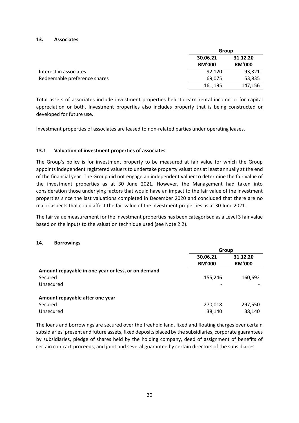#### **13. Associates**

|                              |                           | Group                     |  |  |  |
|------------------------------|---------------------------|---------------------------|--|--|--|
|                              | 30.06.21<br><b>RM'000</b> | 31.12.20<br><b>RM'000</b> |  |  |  |
| Interest in associates       | 92,120                    | 93,321                    |  |  |  |
| Redeemable preference shares | 69,075                    | 53,835                    |  |  |  |
|                              | 161,195                   | 147,156                   |  |  |  |

Total assets of associates include investment properties held to earn rental income or for capital appreciation or both. Investment properties also includes property that is being constructed or developed for future use.

Investment properties of associates are leased to non-related parties under operating leases.

#### **13.1 Valuation of investment properties of associates**

The Group's policy is for investment property to be measured at fair value for which the Group appoints independent registered valuers to undertake property valuations at least annually at the end of the financial year. The Group did not engage an independent valuer to determine the fair value of the investment properties as at 30 June 2021. However, the Management had taken into consideration those underlying factors that would have an impact to the fair value of the investment properties since the last valuations completed in December 2020 and concluded that there are no major aspects that could affect the fair value of the investment properties as at 30 June 2021.

The fair value measurement for the investment properties has been categorised as a Level 3 fair value based on the inputs to the valuation technique used (see Note 2.2).

#### **14. Borrowings**

|                                                    | Group                |               |
|----------------------------------------------------|----------------------|---------------|
|                                                    | 31.12.20<br>30.06.21 |               |
|                                                    | <b>RM'000</b>        | <b>RM'000</b> |
| Amount repayable in one year or less, or on demand |                      |               |
| Secured                                            | 155,246              | 160,692       |
| Unsecured                                          |                      |               |
| Amount repayable after one year                    |                      |               |
| Secured                                            | 270,018              | 297,550       |
| Unsecured                                          | 38,140               | 38,140        |

The loans and borrowings are secured over the freehold land, fixed and floating charges over certain subsidiaries' present and future assets, fixed deposits placed by the subsidiaries, corporate guarantees by subsidiaries, pledge of shares held by the holding company, deed of assignment of benefits of certain contract proceeds, and joint and several guarantee by certain directors of the subsidiaries.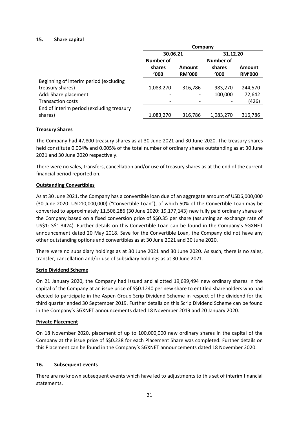#### **15. Share capital**

|                                           | Company   |               |           |               |  |
|-------------------------------------------|-----------|---------------|-----------|---------------|--|
|                                           | 30.06.21  |               | 31.12.20  |               |  |
|                                           | Number of |               | Number of |               |  |
|                                           | shares    | Amount        | shares    | Amount        |  |
|                                           | '000      | <b>RM'000</b> | '000      | <b>RM'000</b> |  |
| Beginning of interim period (excluding    |           |               |           |               |  |
| treasury shares)                          | 1,083,270 | 316,786       | 983,270   | 244,570       |  |
| Add: Share placement                      |           |               | 100,000   | 72,642        |  |
| <b>Transaction costs</b>                  |           |               |           | (426)         |  |
| End of interim period (excluding treasury |           |               |           |               |  |
| shares)                                   | 1,083,270 | 316,786       | 1,083,270 | 316,786       |  |

#### **Treasury Shares**

The Company had 47,800 treasury shares as at 30 June 2021 and 30 June 2020. The treasury shares held constitute 0.004% and 0.005% of the total number of ordinary shares outstanding as at 30 June 2021 and 30 June 2020 respectively.

There were no sales, transfers, cancellation and/or use of treasury shares as at the end of the current financial period reported on.

#### **Outstanding Convertibles**

As at 30 June 2021, the Company has a convertible loan due of an aggregate amount of USD6,000,000 (30 June 2020: USD10,000,000) ("Convertible Loan"), of which 50% of the Convertible Loan may be converted to approximately 11,506,286 (30 June 2020: 19,177,143) new fully paid ordinary shares of the Company based on a fixed conversion price of S\$0.35 per share (assuming an exchange rate of US\$1: S\$1.3424). Further details on this Convertible Loan can be found in the Company's SGXNET announcement dated 20 May 2018. Save for the Convertible Loan, the Company did not have any other outstanding options and convertibles as at 30 June 2021 and 30 June 2020.

There were no subsidiary holdings as at 30 June 2021 and 30 June 2020. As such, there is no sales, transfer, cancellation and/or use of subsidiary holdings as at 30 June 2021.

#### **Scrip Dividend Scheme**

On 21 January 2020, the Company had issued and allotted 19,699,494 new ordinary shares in the capital of the Company at an issue price of S\$0.1240 per new share to entitled shareholders who had elected to participate in the Aspen Group Scrip Dividend Scheme in respect of the dividend for the third quarter ended 30 September 2019. Further details on this Scrip Dividend Scheme can be found in the Company's SGXNET announcements dated 18 November 2019 and 20 January 2020.

#### **Private Placement**

On 18 November 2020, placement of up to 100,000,000 new ordinary shares in the capital of the Company at the issue price of S\$0.238 for each Placement Share was completed. Further details on this Placement can be found in the Company's SGXNET announcements dated 18 November 2020.

#### **16. Subsequent events**

There are no known subsequent events which have led to adjustments to this set of interim financial statements.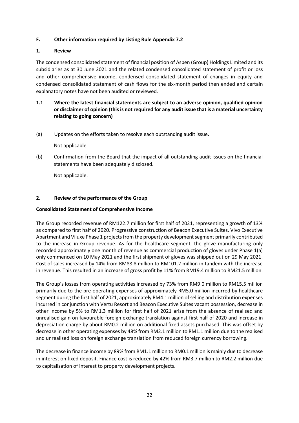#### **F. Other information required by Listing Rule Appendix 7.2**

#### **1. Review**

The condensed consolidated statement of financial position of Aspen (Group) Holdings Limited and its subsidiaries as at 30 June 2021 and the related condensed consolidated statement of profit or loss and other comprehensive income, condensed consolidated statement of changes in equity and condensed consolidated statement of cash flows for the six-month period then ended and certain explanatory notes have not been audited or reviewed.

- **1.1 Where the latest financial statements are subject to an adverse opinion, qualified opinion or disclaimer of opinion (this is not required for any audit issue that is a material uncertainty relating to going concern)**
- (a) Updates on the efforts taken to resolve each outstanding audit issue.

Not applicable.

(b) Confirmation from the Board that the impact of all outstanding audit issues on the financial statements have been adequately disclosed.

Not applicable.

#### **2. Review of the performance of the Group**

#### **Consolidated Statement of Comprehensive Income**

The Group recorded revenue of RM122.7 million for first half of 2021, representing a growth of 13% as compared to first half of 2020. Progressive construction of Beacon Executive Suites, Vivo Executive Apartment and Viluxe Phase 1 projects from the property development segment primarily contributed to the increase in Group revenue. As for the healthcare segment, the glove manufacturing only recorded approximately one month of revenue as commercial production of gloves under Phase 1(a) only commenced on 10 May 2021 and the first shipment of gloves was shipped out on 29 May 2021. Cost of sales increased by 14% from RM88.8 million to RM101.2 million in tandem with the increase in revenue. This resulted in an increase of gross profit by 11% from RM19.4 million to RM21.5 million.

The Group's losses from operating activities increased by 73% from RM9.0 million to RM15.5 million primarily due to the pre-operating expenses of approximately RM5.0 million incurred by healthcare segment during the first half of 2021, approximately RM4.1 million of selling and distribution expenses incurred in conjunction with Vertu Resort and Beacon Executive Suites vacant possession, decrease in other income by 5% to RM1.3 million for first half of 2021 arise from the absence of realised and unrealised gain on favourable foreign exchange translation against first half of 2020 and increase in depreciation charge by about RM0.2 million on additional fixed assets purchased. This was offset by decrease in other operating expenses by 48% from RM2.1 million to RM1.1 million due to the realised and unrealised loss on foreign exchange translation from reduced foreign currency borrowing.

The decrease in finance income by 89% from RM1.1 million to RM0.1 million is mainly due to decrease in interest on fixed deposit. Finance cost is reduced by 42% from RM3.7 million to RM2.2 million due to capitalisation of interest to property development projects.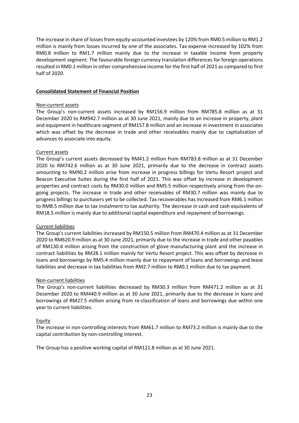The increase in share of losses from equity-accounted investees by 120% from RM0.5 million to RM1.2 million is mainly from losses incurred by one of the associates. Tax expense increased by 102% from RM0.8 million to RM1.7 million mainly due to the increase in taxable income from property development segment. The favourable foreign currency translation differences for foreign operations resulted in RM0.1 million in other comprehensive income for the first half of 2021 as compared to first half of 2020.

#### **Consolidated Statement of Financial Position**

#### Non-current assets

The Group's non-current assets increased by RM156.9 million from RM785.8 million as at 31 December 2020 to RM942.7 million as at 30 June 2021, mainly due to an increase in property, plant and equipment in healthcare segment of RM157.8 million and an increase in investment in associates which was offset by the decrease in trade and other receivables mainly due to capitalisation of advances to associate into equity.

#### Current assets

The Group's current assets decreased by RM41.2 million from RM783.8 million as at 31 December 2020 to RM742.6 million as at 30 June 2021, primarily due to the decrease in contract assets amounting to RM90.2 million arise from increase in progress billings for Vertu Resort project and Beacon Executive Suites during the first half of 2021. This was offset by increase in development properties and contract costs by RM30.0 million and RM5.5 million respectively arising from the ongoing projects. The increase in trade and other receivables of RM30.7 million was mainly due to progress billings to purchasers yet to be collected. Tax recoverables has increased from RM6.1 million to RM8.5 million due to tax instalment to tax authority. The decrease in cash and cash equivalents of RM18.5 million is mainly due to additional capital expenditure and repayment of borrowings.

#### Current liabilities

The Group's current liabilities increased by RM150.5 million from RM470.4 million as at 31 December 2020 to RM620.9 million as at 30 June 2021, primarily due to the increase in trade and other payables of RM130.4 million arising from the construction of glove manufacturing plant and the increase in contract liabilities by RM28.1 million mainly for Vertu Resort project. This was offset by decrease in loans and borrowings by RM5.4 million mainly due to repayment of loans and borrowings and lease liabilities and decrease in tax liabilities from RM2.7 million to RM0.1 million due to tax payment.

#### Non-current liabilities

The Group's non-current liabilities decreased by RM30.3 million from RM471.2 million as at 31 December 2020 to RM440.9 million as at 30 June 2021, primarily due to the decrease in loans and borrowings of RM27.5 million arising from re-classification of loans and borrowings due within one year to current liabilities.

#### Equity

The increase in non-controlling interests from RM61.7 million to RM73.2 million is mainly due to the capital contribution by non-controlling interest.

The Group has a positive working capital of RM121.8 million as at 30 June 2021.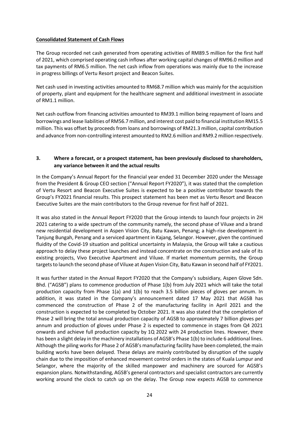#### **Consolidated Statement of Cash Flows**

The Group recorded net cash generated from operating activities of RM89.5 million for the first half of 2021, which comprised operating cash inflows after working capital changes of RM96.0 million and tax payments of RM6.5 million. The net cash inflow from operations was mainly due to the increase in progress billings of Vertu Resort project and Beacon Suites.

Net cash used in investing activities amounted to RM68.7 million which was mainly for the acquisition of property, plant and equipment for the healthcare segment and additional investment in associate of RM1.1 million.

Net cash outflow from financing activities amounted to RM39.1 million being repayment of loans and borrowings and lease liabilities of RM56.7 million, and interest cost paid to financial institution RM15.5 million. This was offset by proceeds from loans and borrowings of RM21.3 million, capital contribution and advance from non-controlling interest amounted to RM2.6 million and RM9.2 million respectively.

#### **3. Where a forecast, or a prospect statement, has been previously disclosed to shareholders, any variance between it and the actual results**

In the Company's Annual Report for the financial year ended 31 December 2020 under the Message from the President & Group CEO section ("Annual Report FY2020"), it was stated that the completion of Vertu Resort and Beacon Executive Suites is expected to be a positive contributor towards the Group's FY2021 financial results. This prospect statement has been met as Vertu Resort and Beacon Executive Suites are the main contributors to the Group revenue for first half of 2021.

It was also stated in the Annual Report FY2020 that the Group intends to launch four projects in 2H 2021 catering to a wide spectrum of the community namely, the second phase of Viluxe and a brand new residential development in Aspen Vision City, Batu Kawan, Penang; a high-rise development in Tanjung Bungah, Penang and a serviced apartment in Kajang, Selangor. However, given the continued fluidity of the Covid-19 situation and political uncertainty in Malaysia, the Group will take a cautious approach to delay these project launches and instead concentrate on the construction and sale of its existing projects, Vivo Executive Apartment and Viluxe. If market momentum permits, the Group targets to launch the second phase of Viluxe at Aspen Vision City, Batu Kawan in second half of FY2021.

It was further stated in the Annual Report FY2020 that the Company's subsidiary, Aspen Glove Sdn. Bhd. ("AGSB") plans to commence production of Phase 1(b) from July 2021 which will take the total production capacity from Phase 1(a) and 1(b) to reach 3.5 billion pieces of gloves per annum. In addition, it was stated in the Company's announcement dated 17 May 2021 that AGSB has commenced the construction of Phase 2 of the manufacturing facility in April 2021 and the construction is expected to be completed by October 2021. It was also stated that the completion of Phase 2 will bring the total annual production capacity of AGSB to approximately 7 billion gloves per annum and production of gloves under Phase 2 is expected to commence in stages from Q4 2021 onwards and achieve full production capacity by 1Q 2022 with 24 production lines. However, there has been a slight delay in the machinery installations of AGSB's Phase 1(b) to include 6 additional lines. Although the piling works for Phase 2 of AGSB's manufacturing facility have been completed, the main building works have been delayed. These delays are mainly contributed by disruption of the supply chain due to the imposition of enhanced movement control orders in the states of Kuala Lumpur and Selangor, where the majority of the skilled manpower and machinery are sourced for AGSB's expansion plans. Notwithstanding, AGSB's general contractors and specialist contractors are currently working around the clock to catch up on the delay. The Group now expects AGSB to commence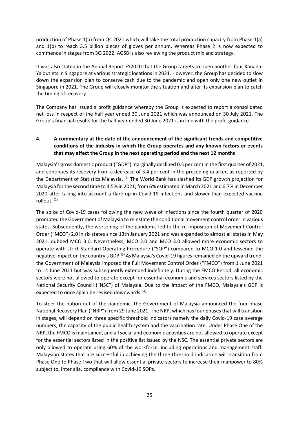production of Phase 1(b) from Q4 2021 which will take the total production capacity from Phase 1(a) and 1(b) to reach 3.5 billion pieces of gloves per annum. Whereas Phase 2 is now expected to commence in stages from 3Q 2022. AGSB is also reviewing the product mix and strategy.

It was also stated in the Annual Report FY2020 that the Group targets to open another four Kanada-Ya outlets in Singapore at various strategic locations in 2021. However, the Group has decided to slow down the expansion plan to conserve cash due to the pandemic and open only one new outlet in Singapore in 2021. The Group will closely monitor the situation and alter its expansion plan to catch the timing of recovery.

The Company has issued a profit guidance whereby the Group is expected to report a consolidated net loss in respect of the half year ended 30 June 2021 which was announced on 30 July 2021. The Group's financial results for the half year ended 30 June 2021 is in line with the profit guidance.

## **4. A commentary at the date of the announcement of the significant trends and competitive conditions of the industry in which the Group operates and any known factors or events that may affect the Group in the next operating period and the next 12 months**

Malaysia's gross domestic product ("GDP") marginally declined 0.5 per cent in the first quarter of 2021, and continues its recovery from a decrease of 3.4 per cent in the preceding quarter, as reported by the Department of Statistics Malaysia. <sup>(1)</sup> The World Bank has slashed its GDP growth projection for Malaysia for the second time to 4.5% in 2021; from 6% estimated in March 2021 and 6.7% in December 2020 after taking into account a flare-up in Covid-19 infections and slower-than-expected vaccine rollout. (2)

The spike of Covid-19 cases following the new wave of infections since the fourth quarter of 2020 prompted the Government of Malaysia to reinstate the conditional movement control order in various states. Subsequently, the worsening of the pandemic led to the re-imposition of Movement Control Order ("MCO") 2.0 in six states since 13th January 2021 and was expanded to almost all states in May 2021, dubbed MCO 3.0. Nevertheless, MCO 2.0 and MCO 3.0 allowed more economic sectors to operate with strict Standard Operating Procedure ("SOP") compared to MCO 1.0 and lessened the negative impact on the country's GDP.<sup>(3)</sup> As Malaysia's Covid-19 figures remained on the upward trend, the Government of Malaysia imposed the Full Movement Control Order ("FMCO") from 1 June 2021 to 14 June 2021 but was subsequently extended indefinitely. During the FMCO Period, all economic sectors were not allowed to operate except for essential economic and services sectors listed by the National Security Council ("NSC") of Malaysia. Due to the impact of the FMCO, Malaysia's GDP is expected to once again be revised downwards.<sup>(4)</sup>

To steer the nation out of the pandemic, the Government of Malaysia announced the four-phase National Recovery Plan ("NRP") from 29 June 2021. The NRP, which has four phases that will transition in stages, will depend on three specific threshold indicators namely the daily Covid-19 case average numbers, the capacity of the public health system and the vaccination rate. Under Phase One of the NRP, the FMCO is maintained, and all social and economic activities are not allowed to operate except for the essential sectors listed in the positive list issued by the NSC. The essential private sectors are only allowed to operate using 60% of the workforce, including operations and management staff. Malaysian states that are successful in achieving the three threshold indicators will transition from Phase One to Phase Two that will allow essential private sectors to increase their manpower to 80% subject to, inter alia, compliance with Covid-19 SOPs.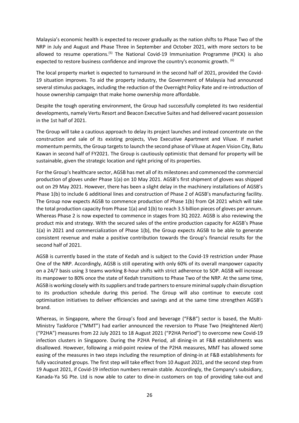Malaysia's economic health is expected to recover gradually as the nation shifts to Phase Two of the NRP in July and August and Phase Three in September and October 2021, with more sectors to be allowed to resume operations.<sup>(5)</sup> The National Covid-19 Immunisation Programme (PICK) is also expected to restore business confidence and improve the country's economic growth. <sup>(6)</sup>

The local property market is expected to turnaround in the second half of 2021, provided the Covid-19 situation improves. To aid the property industry, the Government of Malaysia had announced several stimulus packages, including the reduction of the Overnight Policy Rate and re-introduction of house ownership campaign that make home ownership more affordable.

Despite the tough operating environment, the Group had successfully completed its two residential developments, namely Vertu Resort and Beacon Executive Suites and had delivered vacant possession in the 1st half of 2021.

The Group will take a cautious approach to delay its project launches and instead concentrate on the construction and sale of its existing projects, Vivo Executive Apartment and Viluxe. If market momentum permits, the Group targets to launch the second phase of Viluxe at Aspen Vision City, Batu Kawan in second half of FY2021. The Group is cautiously optimistic that demand for property will be sustainable, given the strategic location and right pricing of its properties.

For the Group's healthcare sector, AGSB has met all of its milestones and commenced the commercial production of gloves under Phase 1(a) on 10 May 2021. AGSB's first shipment of gloves was shipped out on 29 May 2021. However, there has been a slight delay in the machinery installations of AGSB's Phase 1(b) to include 6 additional lines and construction of Phase 2 of AGSB's manufacturing facility. The Group now expects AGSB to commence production of Phase 1(b) from Q4 2021 which will take the total production capacity from Phase 1(a) and 1(b) to reach 3.5 billion pieces of gloves per annum. Whereas Phase 2 is now expected to commence in stages from 3Q 2022. AGSB is also reviewing the product mix and strategy. With the secured sales of the entire production capacity for AGSB's Phase 1(a) in 2021 and commercialization of Phase 1(b), the Group expects AGSB to be able to generate consistent revenue and make a positive contribution towards the Group's financial results for the second half of 2021.

AGSB is currently based in the state of Kedah and is subject to the Covid-19 restriction under Phase One of the NRP. Accordingly, AGSB is still operating with only 60% of its overall manpower capacity on a 24/7 basis using 3 teams working 8-hour shifts with strict adherence to SOP. AGSB will increase its manpower to 80% once the state of Kedah transitions to Phase Two of the NRP. At the same time, AGSB is working closely with itssuppliers and trade partners to ensure minimal supply chain disruption to its production schedule during this period. The Group will also continue to execute cost optimisation initiatives to deliver efficiencies and savings and at the same time strengthen AGSB's brand.

Whereas, in Singapore, where the Group's food and beverage ("F&B") sector is based, the Multi-Ministry Taskforce ("MMT") had earlier announced the reversion to Phase Two (Heightened Alert) ("P2HA") measures from 22 July 2021 to 18 August 2021 ("P2HA Period") to overcome new Covid-19 infection clusters in Singapore. During the P2HA Period, all dining-in at F&B establishments was disallowed. However, following a mid-point review of the P2HA measures, MMT has allowed some easing of the measures in two steps including the resumption of dining-in at F&B establishments for fully vaccinated groups. The first step will take effect from 10 August 2021, and the second step from 19 August 2021, if Covid-19 infection numbers remain stable. Accordingly, the Company's subsidiary, Kanada-Ya SG Pte. Ltd is now able to cater to dine-in customers on top of providing take-out and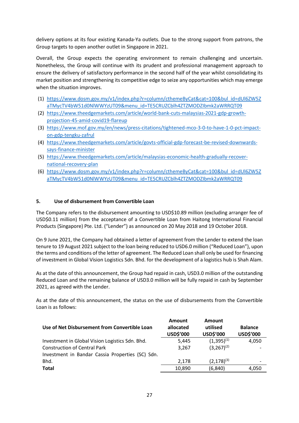delivery options at its four existing Kanada-Ya outlets. Due to the strong support from patrons, the Group targets to open another outlet in Singapore in 2021.

Overall, the Group expects the operating environment to remain challenging and uncertain. Nonetheless, the Group will continue with its prudent and professional management approach to ensure the delivery of satisfactory performance in the second half of the year whilst consolidating its market position and strengthening its competitive edge to seize any opportunities which may emerge when the situation improves.

- (1) [https://www.dosm.gov.my/v1/index.php?r=column/cthemeByCat&cat=100&bul\\_id=dUl6ZW5Z](https://www.dosm.gov.my/v1/index.php?r=column/cthemeByCat&cat=100&bul_id=dUl6ZW5ZaTMycTV4bW51d0NlWWYzUT09&menu_id=TE5CRUZCblh4ZTZMODZIbmk2aWRRQT09) [aTMycTV4bW51d0NlWWYzUT09&menu\\_id=TE5CRUZCblh4ZTZMODZIbmk2aWRRQT09](https://www.dosm.gov.my/v1/index.php?r=column/cthemeByCat&cat=100&bul_id=dUl6ZW5ZaTMycTV4bW51d0NlWWYzUT09&menu_id=TE5CRUZCblh4ZTZMODZIbmk2aWRRQT09)
- (2) [https://www.theedgemarkets.com/article/world-bank-cuts-malaysias-2021-gdp-growth](https://www.theedgemarkets.com/article/world-bank-cuts-malaysias-2021-gdp-growth-projection-45-amid-covid19-flareup)[projection-45-amid-covid19-flareup](https://www.theedgemarkets.com/article/world-bank-cuts-malaysias-2021-gdp-growth-projection-45-amid-covid19-flareup)
- (3) [https://www.mof.gov.my/en/news/press-citations/tightened-mco-3-0-to-have-1-0-pct-impact](https://www.mof.gov.my/en/news/press-citations/tightened-mco-3-0-to-have-1-0-pct-impact-on-gdp-tengku-zafrul)[on-gdp-tengku-zafrul](https://www.mof.gov.my/en/news/press-citations/tightened-mco-3-0-to-have-1-0-pct-impact-on-gdp-tengku-zafrul)
- (4) [https://www.theedgemarkets.com/article/govts-official-gdp-forecast-be-revised-downwards](https://www.theedgemarkets.com/article/govts-official-gdp-forecast-be-revised-downwards-says-finance-minister)[says-finance-minister](https://www.theedgemarkets.com/article/govts-official-gdp-forecast-be-revised-downwards-says-finance-minister)
- (5) [https://www.theedgemarkets.com/article/malaysias-economic-health-gradually-recover](https://www.theedgemarkets.com/article/malaysias-economic-health-gradually-recover-national-recovery-plan)[national-recovery-plan](https://www.theedgemarkets.com/article/malaysias-economic-health-gradually-recover-national-recovery-plan)
- (6) [https://www.dosm.gov.my/v1/index.php?r=column/cthemeByCat&cat=100&bul\\_id=dUl6ZW5Z](https://www.dosm.gov.my/v1/index.php?r=column/cthemeByCat&cat=100&bul_id=dUl6ZW5ZaTMycTV4bW51d0NlWWYzUT09&menu_id=TE5CRUZCblh4ZTZMODZIbmk2aWRRQT09) [aTMycTV4bW51d0NlWWYzUT09&menu\\_id=TE5CRUZCblh4ZTZMODZIbmk2aWRRQT09](https://www.dosm.gov.my/v1/index.php?r=column/cthemeByCat&cat=100&bul_id=dUl6ZW5ZaTMycTV4bW51d0NlWWYzUT09&menu_id=TE5CRUZCblh4ZTZMODZIbmk2aWRRQT09)

#### **5. Use of disbursement from Convertible Loan**

The Company refers to the disbursement amounting to USD\$10.89 million (excluding arranger fee of USD\$0.11 million) from the acceptance of a Convertible Loan from Haitong International Financial Products (Singapore) Pte. Ltd. ("Lender") as announced on 20 May 2018 and 19 October 2018.

On 9 June 2021, the Company had obtained a letter of agreement from the Lender to extend the loan tenure to 19 August 2021 subject to the loan being reduced to USD6.0 million ("Reduced Loan"), upon the terms and conditions of the letter of agreement. The Reduced Loan shall only be used for financing of investment in Global Vision Logistics Sdn. Bhd. for the development of a logistics hub is Shah Alam.

As at the date of this announcement, the Group had repaid in cash, USD3.0 million of the outstanding Reduced Loan and the remaining balance of USD3.0 million will be fully repaid in cash by September 2021, as agreed with the Lender.

As at the date of this announcement, the status on the use of disbursements from the Convertible Loan is as follows:

| Use of Net Disbursement from Convertible Loan    | <b>Amount</b><br>allocated<br>USD\$'000 | Amount<br>utilised<br>USD\$'000 | <b>Balance</b><br>USD\$'000 |
|--------------------------------------------------|-----------------------------------------|---------------------------------|-----------------------------|
| Investment in Global Vision Logistics Sdn. Bhd.  | 5.445                                   | $(1,395)^{(1)}$                 | 4,050                       |
| <b>Construction of Central Park</b>              | 3,267                                   | $(3,267)^{(2)}$                 |                             |
| Investment in Bandar Cassia Properties (SC) Sdn. |                                         |                                 |                             |
| Bhd.                                             | 2.178                                   | $(2,178)^{(3)}$                 | $\overline{\phantom{a}}$    |
| <b>Total</b>                                     | 10,890                                  | (6, 840)                        | 4,050                       |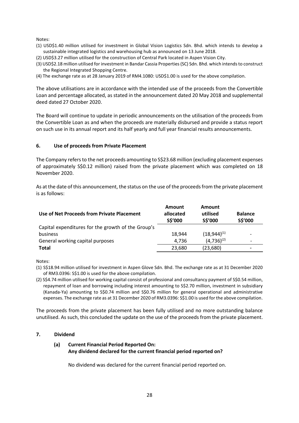Notes:

- (1) USD\$1.40 million utilised for investment in Global Vision Logistics Sdn. Bhd. which intends to develop a sustainable integrated logistics and warehousing hub as announced on 13 June 2018.
- (2) USD\$3.27 million utilised for the construction of Central Park located in Aspen Vision City.
- (3) USD\$2.18 million utilised for investment in Bandar Cassia Properties (SC) Sdn. Bhd. which intends to construct the Regional Integrated Shopping Centre.
- (4) The exchange rate as at 28 January 2019 of RM4.1080: USD\$1.00 is used for the above compilation.

The above utilisations are in accordance with the intended use of the proceeds from the Convertible Loan and percentage allocated, as stated in the announcement dated 20 May 2018 and supplemental deed dated 27 October 2020.

The Board will continue to update in periodic announcements on the utilisation of the proceeds from the Convertible Loan as and when the proceeds are materially disbursed and provide a status report on such use in its annual report and its half yearly and full year financial results announcements.

#### **6. Use of proceeds from Private Placement**

The Company refers to the net proceeds amounting to S\$23.68 million (excluding placement expenses of approximately S\$0.12 million) raised from the private placement which was completed on 18 November 2020.

As at the date of this announcement, the status on the use of the proceeds from the private placement is as follows:

| Use of Net Proceeds from Private Placement         | Amount<br>allocated<br>S\$'000 | Amount<br>utilised<br>S\$'000 | <b>Balance</b><br>S\$'000 |
|----------------------------------------------------|--------------------------------|-------------------------------|---------------------------|
| Capital expenditures for the growth of the Group's |                                |                               |                           |
| business                                           | 18,944                         | $(18,944)^{(1)}$              | ۰                         |
| General working capital purposes                   | 4.736                          | $(4,736)^{(2)}$               | $\overline{\phantom{0}}$  |
| Total                                              | 23,680                         | (23,680)                      | $\overline{\phantom{0}}$  |

Notes:

(1) S\$18.94 million utilised for investment in Aspen Glove Sdn. Bhd. The exchange rate as at 31 December 2020 of RM3.0396: S\$1.00 is used for the above compilation.

(2) S\$4.74 million utilised for working capital consist of professional and consultancy payment of S\$0.54 million, repayment of loan and borrowing including interest amounting to S\$2.70 million, investment in subsidiary (Kanada-Ya) amounting to S\$0.74 million and S\$0.76 million for general operational and administrative expenses. The exchange rate as at 31 December 2020 of RM3.0396: S\$1.00 is used for the above compilation.

The proceeds from the private placement has been fully utilised and no more outstanding balance unutilised. As such, this concluded the update on the use of the proceeds from the private placement.

#### **7. Dividend**

#### **(a) Current Financial Period Reported On: Any dividend declared for the current financial period reported on?**

No dividend was declared for the current financial period reported on.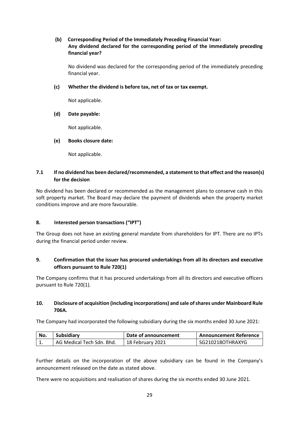#### **(b) Corresponding Period of the Immediately Preceding Financial Year: Any dividend declared for the corresponding period of the immediately preceding financial year?**

No dividend was declared for the corresponding period of the immediately preceding financial year.

#### **(c) Whether the dividend is before tax, net of tax or tax exempt.**

Not applicable.

#### **(d) Date payable:**

Not applicable.

#### **(e) Books closure date:**

Not applicable.

### **7.1 If no dividend has been declared/recommended, a statement to that effect and the reason(s) for the decision**

No dividend has been declared or recommended as the management plans to conserve cash in this soft property market. The Board may declare the payment of dividends when the property market conditions improve and are more favourable.

#### **8. Interested person transactions ("IPT")**

The Group does not have an existing general mandate from shareholders for IPT. There are no IPTs during the financial period under review.

#### **9. Confirmation that the issuer has procured undertakings from all its directors and executive officers pursuant to Rule 720(1)**

The Company confirms that it has procured undertakings from all its directors and executive officers pursuant to Rule 720(1).

#### **10. Disclosure of acquisition (including incorporations) and sale of shares under Mainboard Rule 706A.**

The Company had incorporated the following subsidiary during the six months ended 30 June 2021:

| No.      | Subsidiary                | Date of announcement | <b>Announcement Reference</b> |
|----------|---------------------------|----------------------|-------------------------------|
| <b>.</b> | AG Medical Tech Sdn. Bhd. | 18 February 2021     | l SG210218OTHRAXYG            |

Further details on the incorporation of the above subsidiary can be found in the Company's announcement released on the date as stated above.

There were no acquisitions and realisation of shares during the six months ended 30 June 2021.